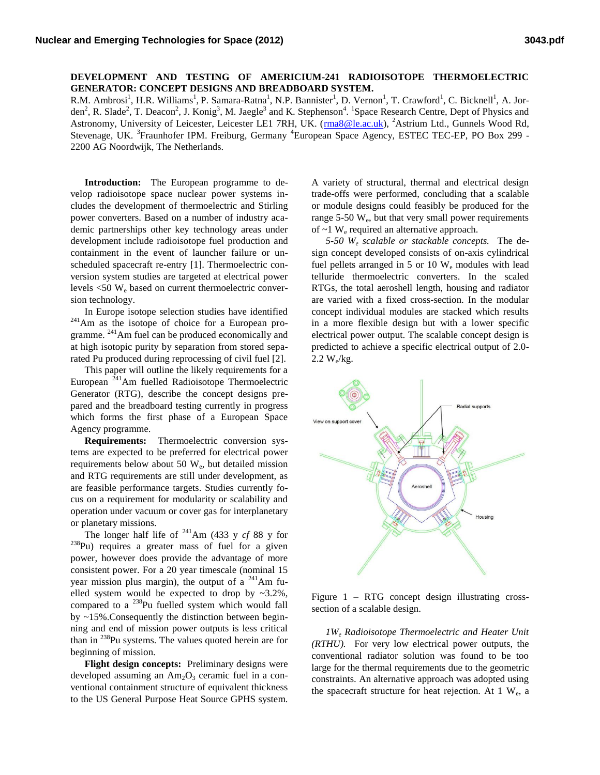## **DEVELOPMENT AND TESTING OF AMERICIUM-241 RADIOISOTOPE THERMOELECTRIC GENERATOR: CONCEPT DESIGNS AND BREADBOARD SYSTEM.**

R.M. Ambrosi<sup>1</sup>, H.R. Williams<sup>1</sup>, P. Samara-Ratna<sup>1</sup>, N.P. Bannister<sup>1</sup>, D. Vernon<sup>1</sup>, T. Crawford<sup>1</sup>, C. Bicknell<sup>1</sup>, A. Jorden<sup>2</sup>, R. Slade<sup>2</sup>, T. Deacon<sup>2</sup>, J. Konig<sup>3</sup>, M. Jaegle<sup>3</sup> and K. Stephenson<sup>4</sup>. <sup>1</sup>Space Research Centre, Dept of Physics and Astronomy, University of Leicester, Leicester LE1 7RH, UK. (ma8@le.ac.uk), <sup>2</sup>Astrium Ltd., Gunnels Wood Rd, Stevenage, UK. <sup>3</sup>Fraunhofer IPM. Freiburg, Germany <sup>4</sup>European Space Agency, ESTEC TEC-EP, PO Box 299 -2200 AG Noordwijk, The Netherlands.

**Introduction:** The European programme to develop radioisotope space nuclear power systems includes the development of thermoelectric and Stirling power converters. Based on a number of industry academic partnerships other key technology areas under development include radioisotope fuel production and containment in the event of launcher failure or unscheduled spacecraft re-entry [1]. Thermoelectric conversion system studies are targeted at electrical power levels  $\leq 50$  W<sub>e</sub> based on current thermoelectric conversion technology.

In Europe isotope selection studies have identified <sup>241</sup>Am as the isotope of choice for a European programme. <sup>241</sup>Am fuel can be produced economically and at high isotopic purity by separation from stored separated Pu produced during reprocessing of civil fuel [2].

This paper will outline the likely requirements for a European <sup>241</sup>Am fuelled Radioisotope Thermoelectric Generator (RTG), describe the concept designs prepared and the breadboard testing currently in progress which forms the first phase of a European Space Agency programme.

**Requirements:** Thermoelectric conversion systems are expected to be preferred for electrical power requirements below about 50 W<sub>e</sub>, but detailed mission and RTG requirements are still under development, as are feasible performance targets. Studies currently focus on a requirement for modularity or scalability and operation under vacuum or cover gas for interplanetary or planetary missions.

The longer half life of  $^{241}$ Am (433 y *cf* 88 y for <sup>238</sup>Pu) requires a greater mass of fuel for a given power, however does provide the advantage of more consistent power. For a 20 year timescale (nominal 15 year mission plus margin), the output of a  $^{241}$ Am fuelled system would be expected to drop by  $\approx 3.2\%$ , compared to a  $^{238}$ Pu fuelled system which would fall by ~15%.Consequently the distinction between beginning and end of mission power outputs is less critical than in  $^{238}$ Pu systems. The values quoted herein are for beginning of mission.

**Flight design concepts:** Preliminary designs were developed assuming an  $Am_2O_3$  ceramic fuel in a conventional containment structure of equivalent thickness to the US General Purpose Heat Source GPHS system. A variety of structural, thermal and electrical design trade-offs were performed, concluding that a scalable or module designs could feasibly be produced for the range  $5-50 \, \text{W}_e$ , but that very small power requirements of  $\sim$ 1 W<sub>e</sub> required an alternative approach.

*5-50 W<sup>e</sup> scalable or stackable concepts.* The design concept developed consists of on-axis cylindrical fuel pellets arranged in 5 or 10  $W_e$  modules with lead telluride thermoelectric converters. In the scaled RTGs, the total aeroshell length, housing and radiator are varied with a fixed cross-section. In the modular concept individual modules are stacked which results in a more flexible design but with a lower specific electrical power output. The scalable concept design is predicted to achieve a specific electrical output of 2.0-  $2.2 W_e/kg$ .



Figure 1 – RTG concept design illustrating crosssection of a scalable design.

*1W<sup>e</sup> Radioisotope Thermoelectric and Heater Unit (RTHU).* For very low electrical power outputs, the conventional radiator solution was found to be too large for the thermal requirements due to the geometric constraints. An alternative approach was adopted using the spacecraft structure for heat rejection. At  $1 \text{ W}_e$ , a